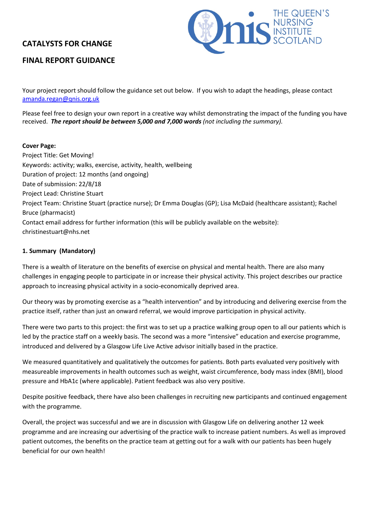# **CATALYSTS FOR CHANGE**



# **FINAL REPORT GUIDANCE**

Your project report should follow the guidance set out below. If you wish to adapt the headings, please contact [amanda.regan@qnis.org.uk](mailto:amanda.regan@qnis.org.uk)

Please feel free to design your own report in a creative way whilst demonstrating the impact of the funding you have received. *The report should be between 5,000 and 7,000 words (not including the summary).*

#### **Cover Page:**

Project Title: Get Moving! Keywords: activity; walks, exercise, activity, health, wellbeing Duration of project: 12 months (and ongoing) Date of submission: 22/8/18 Project Lead: Christine Stuart Project Team: Christine Stuart (practice nurse); Dr Emma Douglas (GP); Lisa McDaid (healthcare assistant); Rachel Bruce (pharmacist) Contact email address for further information (this will be publicly available on the website): christinestuart@nhs.net

#### **1. Summary (Mandatory)**

There is a wealth of literature on the benefits of exercise on physical and mental health. There are also many challenges in engaging people to participate in or increase their physical activity. This project describes our practice approach to increasing physical activity in a socio-economically deprived area.

Our theory was by promoting exercise as a "health intervention" and by introducing and delivering exercise from the practice itself, rather than just an onward referral, we would improve participation in physical activity.

There were two parts to this project: the first was to set up a practice walking group open to all our patients which is led by the practice staff on a weekly basis. The second was a more "intensive" education and exercise programme, introduced and delivered by a Glasgow Life Live Active advisor initially based in the practice.

We measured quantitatively and qualitatively the outcomes for patients. Both parts evaluated very positively with measureable improvements in health outcomes such as weight, waist circumference, body mass index (BMI), blood pressure and HbA1c (where applicable). Patient feedback was also very positive.

Despite positive feedback, there have also been challenges in recruiting new participants and continued engagement with the programme.

Overall, the project was successful and we are in discussion with Glasgow Life on delivering another 12 week programme and are increasing our advertising of the practice walk to increase patient numbers. As well as improved patient outcomes, the benefits on the practice team at getting out for a walk with our patients has been hugely beneficial for our own health!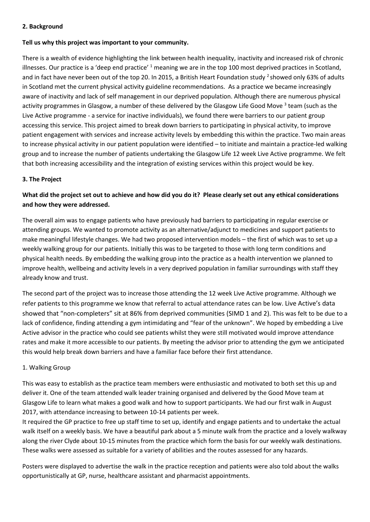#### **2. Background**

#### **Tell us why this project was important to your community.**

There is a wealth of evidence highlighting the link between health inequality, inactivity and increased risk of chronic illnesses. Our practice is a 'deep end practice'  $1$  meaning we are in the top 100 most deprived practices in Scotland, and in fact have never been out of the top 20. In 2015, a British Heart Foundation study  $^2$  showed only 63% of adults in Scotland met the current physical activity guideline recommendations. As a practice we became increasingly aware of inactivity and lack of self management in our deprived population. Although there are numerous physical activity programmes in Glasgow, a number of these delivered by the Glasgow Life Good Move 3 team (such as the Live Active programme - a service for inactive individuals), we found there were barriers to our patient group accessing this service. This project aimed to break down barriers to participating in physical activity, to improve patient engagement with services and increase activity levels by embedding this within the practice. Two main areas to increase physical activity in our patient population were identified – to initiate and maintain a practice-led walking group and to increase the number of patients undertaking the Glasgow Life 12 week Live Active programme. We felt that both increasing accessibility and the integration of existing services within this project would be key.

#### **3. The Project**

## **What did the project set out to achieve and how did you do it? Please clearly set out any ethical considerations and how they were addressed.**

The overall aim was to engage patients who have previously had barriers to participating in regular exercise or attending groups. We wanted to promote activity as an alternative/adjunct to medicines and support patients to make meaningful lifestyle changes. We had two proposed intervention models – the first of which was to set up a weekly walking group for our patients. Initially this was to be targeted to those with long term conditions and physical health needs. By embedding the walking group into the practice as a health intervention we planned to improve health, wellbeing and activity levels in a very deprived population in familiar surroundings with staff they already know and trust.

The second part of the project was to increase those attending the 12 week Live Active programme. Although we refer patients to this programme we know that referral to actual attendance rates can be low. Live Active's data showed that "non-completers" sit at 86% from deprived communities (SIMD 1 and 2). This was felt to be due to a lack of confidence, finding attending a gym intimidating and "fear of the unknown". We hoped by embedding a Live Active advisor in the practice who could see patients whilst they were still motivated would improve attendance rates and make it more accessible to our patients. By meeting the advisor prior to attending the gym we anticipated this would help break down barriers and have a familiar face before their first attendance.

#### 1. Walking Group

This was easy to establish as the practice team members were enthusiastic and motivated to both set this up and deliver it. One of the team attended walk leader training organised and delivered by the Good Move team at Glasgow Life to learn what makes a good walk and how to support participants. We had our first walk in August 2017, with attendance increasing to between 10-14 patients per week.

It required the GP practice to free up staff time to set up, identify and engage patients and to undertake the actual walk itself on a weekly basis. We have a beautiful park about a 5 minute walk from the practice and a lovely walkway along the river Clyde about 10-15 minutes from the practice which form the basis for our weekly walk destinations. These walks were assessed as suitable for a variety of abilities and the routes assessed for any hazards.

Posters were displayed to advertise the walk in the practice reception and patients were also told about the walks opportunistically at GP, nurse, healthcare assistant and pharmacist appointments.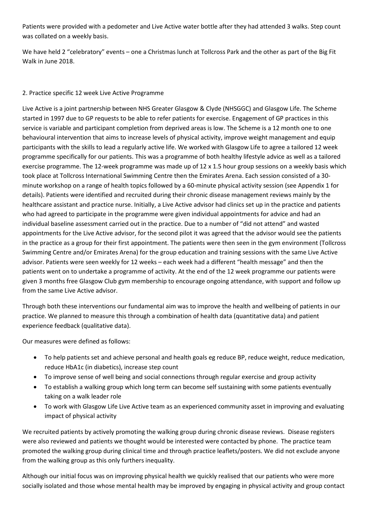Patients were provided with a pedometer and Live Active water bottle after they had attended 3 walks. Step count was collated on a weekly basis.

We have held 2 "celebratory" events – one a Christmas lunch at Tollcross Park and the other as part of the Big Fit Walk in June 2018.

## 2. Practice specific 12 week Live Active Programme

Live Active is a joint partnership between NHS Greater Glasgow & Clyde (NHSGGC) and Glasgow Life. The Scheme started in 1997 due to GP requests to be able to refer patients for exercise. Engagement of GP practices in this service is variable and participant completion from deprived areas is low. The Scheme is a 12 month one to one behavioural intervention that aims to increase levels of physical activity, improve weight management and equip participants with the skills to lead a regularly active life. We worked with Glasgow Life to agree a tailored 12 week programme specifically for our patients. This was a programme of both healthy lifestyle advice as well as a tailored exercise programme. The 12-week programme was made up of 12 x 1.5 hour group sessions on a weekly basis which took place at Tollcross International Swimming Centre then the Emirates Arena. Each session consisted of a 30 minute workshop on a range of health topics followed by a 60-minute physical activity session (see Appendix 1 for details). Patients were identified and recruited during their chronic disease management reviews mainly by the healthcare assistant and practice nurse. Initially, a Live Active advisor had clinics set up in the practice and patients who had agreed to participate in the programme were given individual appointments for advice and had an individual baseline assessment carried out in the practice. Due to a number of "did not attend" and wasted appointments for the Live Active advisor, for the second pilot it was agreed that the advisor would see the patients in the practice as a group for their first appointment. The patients were then seen in the gym environment (Tollcross Swimming Centre and/or Emirates Arena) for the group education and training sessions with the same Live Active advisor. Patients were seen weekly for 12 weeks – each week had a different "health message" and then the patients went on to undertake a programme of activity. At the end of the 12 week programme our patients were given 3 months free Glasgow Club gym membership to encourage ongoing attendance, with support and follow up from the same Live Active advisor.

Through both these interventions our fundamental aim was to improve the health and wellbeing of patients in our practice. We planned to measure this through a combination of health data (quantitative data) and patient experience feedback (qualitative data).

Our measures were defined as follows:

- To help patients set and achieve personal and health goals eg reduce BP, reduce weight, reduce medication, reduce HbA1c (in diabetics), increase step count
- To improve sense of well being and social connections through regular exercise and group activity
- To establish a walking group which long term can become self sustaining with some patients eventually taking on a walk leader role
- To work with Glasgow Life Live Active team as an experienced community asset in improving and evaluating impact of physical activity

We recruited patients by actively promoting the walking group during chronic disease reviews. Disease registers were also reviewed and patients we thought would be interested were contacted by phone. The practice team promoted the walking group during clinical time and through practice leaflets/posters. We did not exclude anyone from the walking group as this only furthers inequality.

Although our initial focus was on improving physical health we quickly realised that our patients who were more socially isolated and those whose mental health may be improved by engaging in physical activity and group contact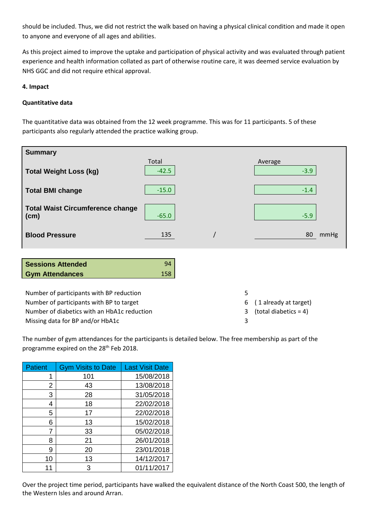should be included. Thus, we did not restrict the walk based on having a physical clinical condition and made it open to anyone and everyone of all ages and abilities.

As this project aimed to improve the uptake and participation of physical activity and was evaluated through patient experience and health information collated as part of otherwise routine care, it was deemed service evaluation by NHS GGC and did not require ethical approval.

#### **4. Impact**

#### **Quantitative data**

The quantitative data was obtained from the 12 week programme. This was for 11 participants. 5 of these participants also regularly attended the practice walking group.

| <b>Summary</b>                                  |                  |                   |
|-------------------------------------------------|------------------|-------------------|
| <b>Total Weight Loss (kg)</b>                   | Total<br>$-42.5$ | Average<br>$-3.9$ |
|                                                 |                  |                   |
| <b>Total BMI change</b>                         | $-15.0$          | $-1.4$            |
| <b>Total Waist Circumference change</b><br>(cm) | $-65.0$          | $-5.9$            |
| <b>Blood Pressure</b>                           | 135              | 80<br>mmHg        |
|                                                 |                  |                   |
|                                                 |                  |                   |
| <b>Sessions Attended</b>                        | 94               |                   |
| <b>Gym Attendances</b>                          | 158              |                   |
|                                                 |                  |                   |
| Number of participants with BP reduction        |                  | 5                 |

Number of participants with BP to target 6 (1 already at target) Number of diabetics with an HbA1c reduction 3 (total diabetics = 4) Missing data for BP and/or HbA1c 3

The number of gym attendances for the participants is detailed below. The free membership as part of the programme expired on the 28<sup>th</sup> Feb 2018.

| <b>Patient</b> | <b>Gym Visits to Date</b> | <b>Last Visit Date</b> |
|----------------|---------------------------|------------------------|
| 1              | 101                       | 15/08/2018             |
| 2              | 43                        | 13/08/2018             |
| 3              | 28                        | 31/05/2018             |
| 4              | 18                        | 22/02/2018             |
| 5              | 17                        | 22/02/2018             |
| 6              | 13                        | 15/02/2018             |
| 7              | 33                        | 05/02/2018             |
| 8              | 21                        | 26/01/2018             |
| 9              | 20                        | 23/01/2018             |
| 10             | 13                        | 14/12/2017             |
| 11             | 3                         | 01/11/2017             |

Over the project time period, participants have walked the equivalent distance of the North Coast 500, the length of the Western Isles and around Arran.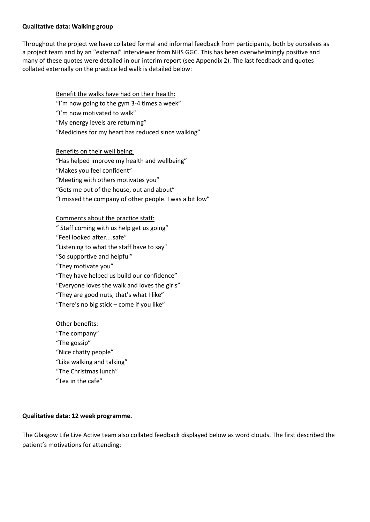#### **Qualitative data: Walking group**

Throughout the project we have collated formal and informal feedback from participants, both by ourselves as a project team and by an "external" interviewer from NHS GGC. This has been overwhelmingly positive and many of these quotes were detailed in our interim report (see Appendix 2). The last feedback and quotes collated externally on the practice led walk is detailed below:

> Benefit the walks have had on their health: "I'm now going to the gym 3-4 times a week"

"I'm now motivated to walk"

"My energy levels are returning"

"Medicines for my heart has reduced since walking"

Benefits on their well being:

"Has helped improve my health and wellbeing"

"Makes you feel confident"

"Meeting with others motivates you"

"Gets me out of the house, out and about"

"I missed the company of other people. I was a bit low"

## Comments about the practice staff:

" Staff coming with us help get us going"

"Feel looked after....safe"

"Listening to what the staff have to say"

"So supportive and helpful"

"They motivate you"

"They have helped us build our confidence"

"Everyone loves the walk and loves the girls"

"They are good nuts, that's what I like"

"There's no big stick – come if you like"

Other benefits: "The company" "The gossip" "Nice chatty people" "Like walking and talking" "The Christmas lunch" "Tea in the cafe"

## **Qualitative data: 12 week programme.**

The Glasgow Life Live Active team also collated feedback displayed below as word clouds. The first described the patient's motivations for attending: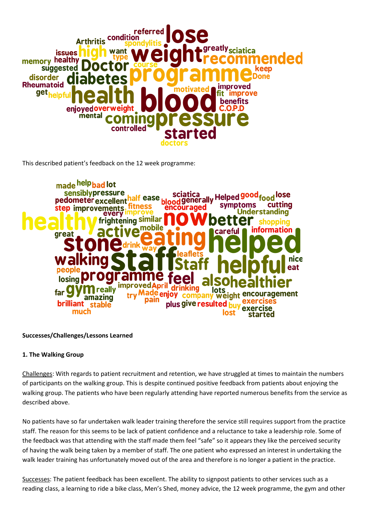

This described patient's feedback on the 12 week programme:



## **Successes/Challenges/Lessons Learned**

## **1. The Walking Group**

Challenges: With regards to patient recruitment and retention, we have struggled at times to maintain the numbers of participants on the walking group. This is despite continued positive feedback from patients about enjoying the walking group. The patients who have been regularly attending have reported numerous benefits from the service as described above.

No patients have so far undertaken walk leader training therefore the service still requires support from the practice staff. The reason for this seems to be lack of patient confidence and a reluctance to take a leadership role. Some of the feedback was that attending with the staff made them feel "safe" so it appears they like the perceived security of having the walk being taken by a member of staff. The one patient who expressed an interest in undertaking the walk leader training has unfortunately moved out of the area and therefore is no longer a patient in the practice.

Successes: The patient feedback has been excellent. The ability to signpost patients to other services such as a reading class, a learning to ride a bike class, Men's Shed, money advice, the 12 week programme, the gym and other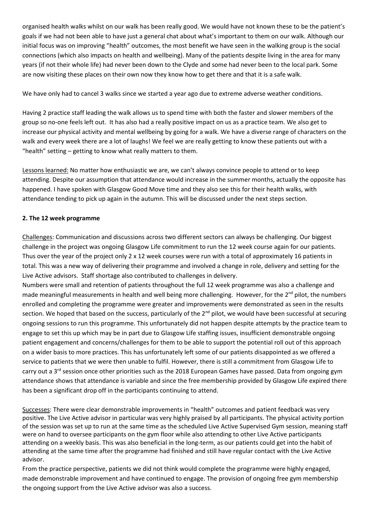organised health walks whilst on our walk has been really good. We would have not known these to be the patient's goals if we had not been able to have just a general chat about what's important to them on our walk. Although our initial focus was on improving "health" outcomes, the most benefit we have seen in the walking group is the social connections (which also impacts on health and wellbeing). Many of the patients despite living in the area for many years (if not their whole life) had never been down to the Clyde and some had never been to the local park. Some are now visiting these places on their own now they know how to get there and that it is a safe walk.

We have only had to cancel 3 walks since we started a year ago due to extreme adverse weather conditions.

Having 2 practice staff leading the walk allows us to spend time with both the faster and slower members of the group so no-one feels left out. It has also had a really positive impact on us as a practice team. We also get to increase our physical activity and mental wellbeing by going for a walk. We have a diverse range of characters on the walk and every week there are a lot of laughs! We feel we are really getting to know these patients out with a "health" setting – getting to know what really matters to them.

Lessons learned: No matter how enthusiastic we are, we can't always convince people to attend or to keep attending. Despite our assumption that attendance would increase in the summer months, actually the opposite has happened. I have spoken with Glasgow Good Move time and they also see this for their health walks, with attendance tending to pick up again in the autumn. This will be discussed under the next steps section.

## **2. The 12 week programme**

Challenges: Communication and discussions across two different sectors can always be challenging. Our biggest challenge in the project was ongoing Glasgow Life commitment to run the 12 week course again for our patients. Thus over the year of the project only 2 x 12 week courses were run with a total of approximately 16 patients in total. This was a new way of delivering their programme and involved a change in role, delivery and setting for the Live Active advisors. Staff shortage also contributed to challenges in delivery.

Numbers were small and retention of patients throughout the full 12 week programme was also a challenge and made meaningful measurements in health and well being more challenging. However, for the 2<sup>nd</sup> pilot, the numbers enrolled and completing the programme were greater and improvements were demonstrated as seen in the results section. We hoped that based on the success, particularly of the  $2<sup>nd</sup>$  pilot, we would have been successful at securing ongoing sessions to run this programme. This unfortunately did not happen despite attempts by the practice team to engage to set this up which may be in part due to Glasgow Life staffing issues, insufficient demonstrable ongoing patient engagement and concerns/challenges for them to be able to support the potential roll out of this approach on a wider basis to more practices. This has unfortunately left some of our patients disappointed as we offered a service to patients that we were then unable to fulfil. However, there is still a commitment from Glasgow Life to carry out a 3<sup>rd</sup> session once other priorities such as the 2018 European Games have passed. Data from ongoing gym attendance shows that attendance is variable and since the free membership provided by Glasgow Life expired there has been a significant drop off in the participants continuing to attend.

Successes: There were clear demonstrable improvements in "health" outcomes and patient feedback was very positive. The Live Active advisor in particular was very highly praised by all participants. The physical activity portion of the session was set up to run at the same time as the scheduled Live Active Supervised Gym session, meaning staff were on hand to oversee participants on the gym floor while also attending to other Live Active participants attending on a weekly basis. This was also beneficial in the long-term, as our patients could get into the habit of attending at the same time after the programme had finished and still have regular contact with the Live Active advisor.

From the practice perspective, patients we did not think would complete the programme were highly engaged, made demonstrable improvement and have continued to engage. The provision of ongoing free gym membership the ongoing support from the Live Active advisor was also a success.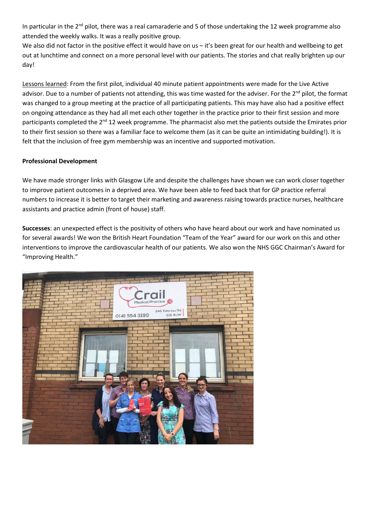In particular in the 2<sup>nd</sup> pilot, there was a real camaraderie and 5 of those undertaking the 12 week programme also attended the weekly walks. It was a really positive group.

We also did not factor in the positive effect it would have on us - it's been great for our health and wellbeing to get out at lunchtime and connect on a more personal level with our patients. The stories and chat really brighten up our day!

Lessons learned: From the first pilot, individual 40 minute patient appointments were made for the Live Active advisor. Due to a number of patients not attending, this was time wasted for the adviser. For the 2<sup>nd</sup> pilot, the format was changed to a group meeting at the practice of all participating patients. This may have also had a positive effect on ongoing attendance as they had all met each other together in the practice prior to their first session and more participants completed the  $2^{nd}$  12 week programme. The pharmacist also met the patients outside the Emirates prior to their first session so there was a familiar face to welcome them (as it can be quite an intimidating building!). It is felt that the inclusion of free gym membership was an incentive and supported motivation.

## **Professional Development**

We have made stronger links with Glasgow Life and despite the challenges have shown we can work closer together to improve patient outcomes in a deprived area. We have been able to feed back that for GP practice referral numbers to increase it is better to target their marketing and awareness raising towards practice nurses, healthcare assistants and practice admin (front of house) staff.

**Successes**: an unexpected effect is the positivity of others who have heard about our work and have nominated us for several awards! We won the British Heart Foundation "Team of the Year" award for our work on this and other interventions to improve the cardiovascular health of our patients. We also won the NHS GGC Chairman's Award for "Improving Health."

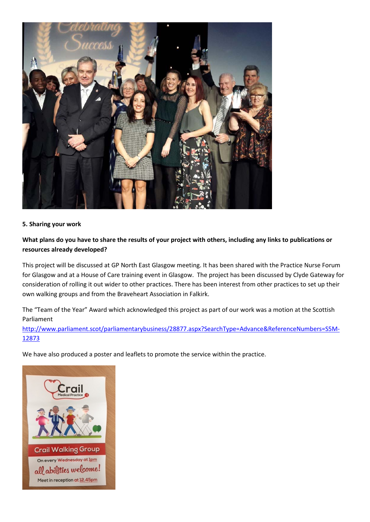

#### **5. Sharing your work**

## **What plans do you have to share the results of your project with others, including any links to publications or resources already developed?**

This project will be discussed at GP North East Glasgow meeting. It has been shared with the Practice Nurse Forum for Glasgow and at a House of Care training event in Glasgow. The project has been discussed by Clyde Gateway for consideration of rolling it out wider to other practices. There has been interest from other practices to set up their own walking groups and from the Braveheart Association in Falkirk.

The "Team of the Year" Award which acknowledged this project as part of our work was a motion at the Scottish Parliament

[http://www.parliament.scot/parliamentarybusiness/28877.aspx?SearchType=Advance&ReferenceNumbers=S5M-](http://www.parliament.scot/parliamentarybusiness/28877.aspx?SearchType=Advance&ReferenceNumbers=S5M-12873)[12873](http://www.parliament.scot/parliamentarybusiness/28877.aspx?SearchType=Advance&ReferenceNumbers=S5M-12873)

We have also produced a poster and leaflets to promote the service within the practice.

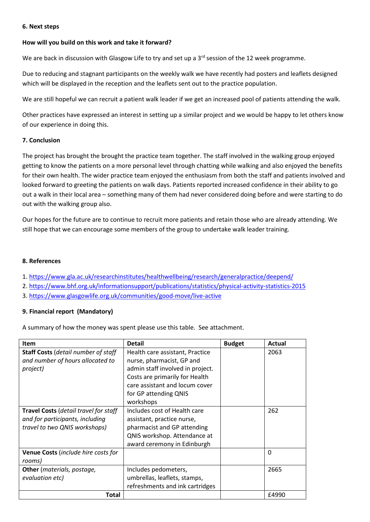#### **6. Next steps**

#### **How will you build on this work and take it forward?**

We are back in discussion with Glasgow Life to try and set up a 3<sup>rd</sup> session of the 12 week programme.

Due to reducing and stagnant participants on the weekly walk we have recently had posters and leaflets designed which will be displayed in the reception and the leaflets sent out to the practice population.

We are still hopeful we can recruit a patient walk leader if we get an increased pool of patients attending the walk.

Other practices have expressed an interest in setting up a similar project and we would be happy to let others know of our experience in doing this.

#### **7. Conclusion**

The project has brought the brought the practice team together. The staff involved in the walking group enjoyed getting to know the patients on a more personal level through chatting while walking and also enjoyed the benefits for their own health. The wider practice team enjoyed the enthusiasm from both the staff and patients involved and looked forward to greeting the patients on walk days. Patients reported increased confidence in their ability to go out a walk in their local area – something many of them had never considered doing before and were starting to do out with the walking group also.

Our hopes for the future are to continue to recruit more patients and retain those who are already attending. We still hope that we can encourage some members of the group to undertake walk leader training.

#### **8. References**

- 1.<https://www.gla.ac.uk/researchinstitutes/healthwellbeing/research/generalpractice/deepend/>
- 2.<https://www.bhf.org.uk/informationsupport/publications/statistics/physical-activity-statistics-2015>
- 3.<https://www.glasgowlife.org.uk/communities/good-move/live-active>

## **9. Financial report (Mandatory)**

A summary of how the money was spent please use this table. See attachment.

| <b>Item</b>                                                                                                      | <b>Detail</b>                                                                                                                                                                                              | <b>Budget</b> | <b>Actual</b> |
|------------------------------------------------------------------------------------------------------------------|------------------------------------------------------------------------------------------------------------------------------------------------------------------------------------------------------------|---------------|---------------|
| <b>Staff Costs</b> (detail number of staff<br>and number of hours allocated to<br>project)                       | Health care assistant, Practice<br>nurse, pharmacist, GP and<br>admin staff involved in project.<br>Costs are primarily for Health<br>care assistant and locum cover<br>for GP attending QNIS<br>workshops |               | 2063          |
| <b>Travel Costs (detail travel for staff</b><br>and for participants, including<br>travel to two QNIS workshops) | Includes cost of Health care<br>assistant, practice nurse,<br>pharmacist and GP attending<br>QNIS workshop. Attendance at<br>award ceremony in Edinburgh                                                   |               | 262           |
| <b>Venue Costs</b> (include hire costs for<br>rooms)                                                             |                                                                                                                                                                                                            |               | 0             |
| <b>Other</b> (materials, postage,<br>evaluation etc)                                                             | Includes pedometers,<br>umbrellas, leaflets, stamps,<br>refreshments and ink cartridges                                                                                                                    |               | 2665          |
| Total                                                                                                            |                                                                                                                                                                                                            |               | £4990         |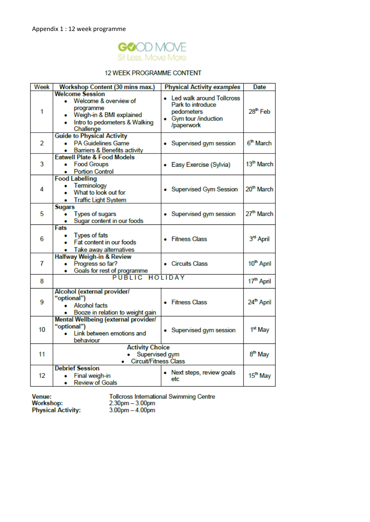

## 12 WEEK PROGRAMME CONTENT

| Week | <b>Workshop Content (30 mins max.)</b>         | <b>Physical Activity examples</b> | <b>Date</b>            |  |  |
|------|------------------------------------------------|-----------------------------------|------------------------|--|--|
|      | <b>Welcome Session</b>                         | • Led walk around Tollcross       |                        |  |  |
|      | Welcome & overview of<br>$\bullet$             | Park to introduce                 |                        |  |  |
| 1    | programme                                      | pedometers                        | $28th$ Feb             |  |  |
|      | • Weigh-in & BMI explained                     | • Gym tour /induction             |                        |  |  |
|      | Intro to pedometers & Walking<br>$\bullet$     | /paperwork                        |                        |  |  |
|      | Challenge                                      |                                   |                        |  |  |
|      | <b>Guide to Physical Activity</b>              |                                   |                        |  |  |
| 2    | <b>PA Guidelines Game</b>                      | • Supervised gym session          | 6 <sup>th</sup> March  |  |  |
|      | <b>Barriers &amp; Benefits activity</b><br>. . |                                   |                        |  |  |
|      | <b>Eatwell Plate &amp; Food Models</b>         |                                   |                        |  |  |
| 3    | <b>Food Groups</b><br>$\bullet$                | • Easy Exercise (Sylvia)          | 13th March             |  |  |
|      | <b>Portion Control</b><br>$\bullet$            |                                   |                        |  |  |
|      | <b>Food Labelling</b>                          |                                   |                        |  |  |
| 4    | • Terminology                                  | • Supervised Gym Session          | 20 <sup>th</sup> March |  |  |
|      | What to look out for<br>٠                      |                                   |                        |  |  |
|      | • Traffic Light System                         |                                   |                        |  |  |
|      | <b>Sugars</b>                                  |                                   |                        |  |  |
| 5    | Types of sugars                                | • Supervised gym session          | 27th March             |  |  |
|      | Sugar content in our foods                     |                                   |                        |  |  |
|      | Fats                                           | • Fitness Class                   |                        |  |  |
| 6    | <b>Types of fats</b><br>۰                      |                                   | 3rd April              |  |  |
|      | Fat content in our foods<br>۰                  |                                   |                        |  |  |
|      | Take away alternatives<br>۰                    |                                   |                        |  |  |
|      | <b>Halfway Weigh-in &amp; Review</b>           |                                   |                        |  |  |
| 7    | Progress so far?<br>۰                          | • Circuits Class                  | 10 <sup>th</sup> April |  |  |
|      | Goals for rest of programme                    |                                   |                        |  |  |
| 8    | PUBLIC HOLIDAY                                 |                                   | 17 <sup>th</sup> April |  |  |
|      |                                                |                                   |                        |  |  |
|      | Alcohol (external provider/                    |                                   |                        |  |  |
| 9    | "optional")<br>• Fitness Class                 |                                   | 24 <sup>th</sup> April |  |  |
|      | Alcohol facts<br>$\bullet$                     |                                   |                        |  |  |
|      | Booze in relation to weight gain<br>۰          |                                   |                        |  |  |
|      | Mental Wellbeing (external provider/           |                                   |                        |  |  |
| 10   | "optional")                                    | • Supervised gym session          | 1 <sup>st</sup> May    |  |  |
|      | Link between emotions and<br>$\bullet$         |                                   |                        |  |  |
|      | behaviour                                      |                                   |                        |  |  |
| 11   | <b>Activity Choice</b><br>Supervised gym       |                                   |                        |  |  |
|      | Circuit/Fitness Class<br>٠                     |                                   |                        |  |  |
|      | <b>Debrief Session</b>                         |                                   |                        |  |  |
| 12   | Final weigh-in                                 | Next steps, review goals          | 15 <sup>th</sup> May   |  |  |
|      | <b>Review of Goals</b><br>$\bullet$            | etc                               |                        |  |  |
|      |                                                |                                   |                        |  |  |

Venue: **Vonter**<br>Workshop:<br>Physical Activity: Tollcross International Swimming Centre<br>2.30pm – 3.00pm<br>3.00pm – 4.00pm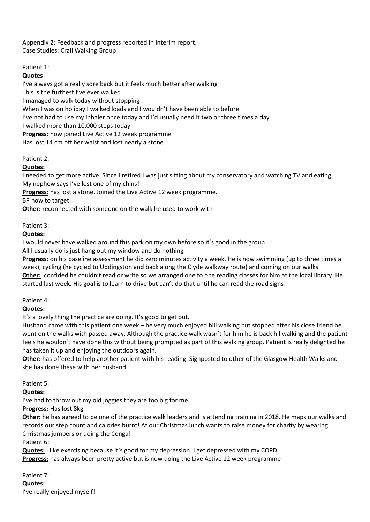Appendix 2: Feedback and progress reported in Interim report. Case Studies: Crail Walking Group

## Patient 1:

## **Quotes**

I've always got a really sore back but it feels much better after walking This is the furthest I've ever walked I managed to walk today without stopping When I was on holiday I walked loads and I wouldn't have been able to before I've not had to use my inhaler once today and I'd usually need it two or three times a day I walked more than 10,000 steps today **Progress:** now joined Live Active 12 week programme Has lost 14 cm off her waist and lost nearly a stone

# Patient 2:

**Quotes:** 

I needed to get more active. Since I retired I was just sitting about my conservatory and watching TV and eating. My nephew says I've lost one of my chins!

**Progress:** has lost a stone. Joined the Live Active 12 week programme.

BP now to target

**Other:** reconnected with someone on the walk he used to work with

## Patient 3:

## **Quotes:**

I would never have walked around this park on my own before so it's good in the group

All I usually do is just hang out my window and do nothing

**Progress:** on his baseline assessment he did zero minutes activity a week. He is now swimming (up to three times a week), cycling (he cycled to Uddingston and back along the Clyde walkway route) and coming on our walks **Other:** confided he couldn't read or write so we arranged one to one reading classes for him at the local library. He started last week. His goal is to learn to drive but can't do that until he can read the road signs!

Patient 4:

## **Quotes:**

It's a lovely thing the practice are doing. It's good to get out.

Husband came with this patient one week – he very much enjoyed hill walking but stopped after his close friend he went on the walks with passed away. Although the practice walk wasn't for him he is back hillwalking and the patient feels he wouldn't have done this without being prompted as part of this walking group. Patient is really delighted he has taken it up and enjoying the outdoors again.

**Other:** has offered to help another patient with his reading. Signposted to other of the Glasgow Health Walks and she has done these with her husband.

Patient 5:

**Quotes:**

I've had to throw out my old joggies they are too big for me.

**Progress:** Has lost 8kg

**Other:** he has agreed to be one of the practice walk leaders and is attending training in 2018. He maps our walks and records our step count and calories burnt! At our Christmas lunch wants to raise money for charity by wearing Christmas jumpers or doing the Conga!

Patient 6:

**Quotes:** I like exercising because it's good for my depression. I get depressed with my COPD **Progress:** has always been pretty active but is now doing the Live Active 12 week programme

Patient 7:

**Quotes:**

I've really enjoyed myself!